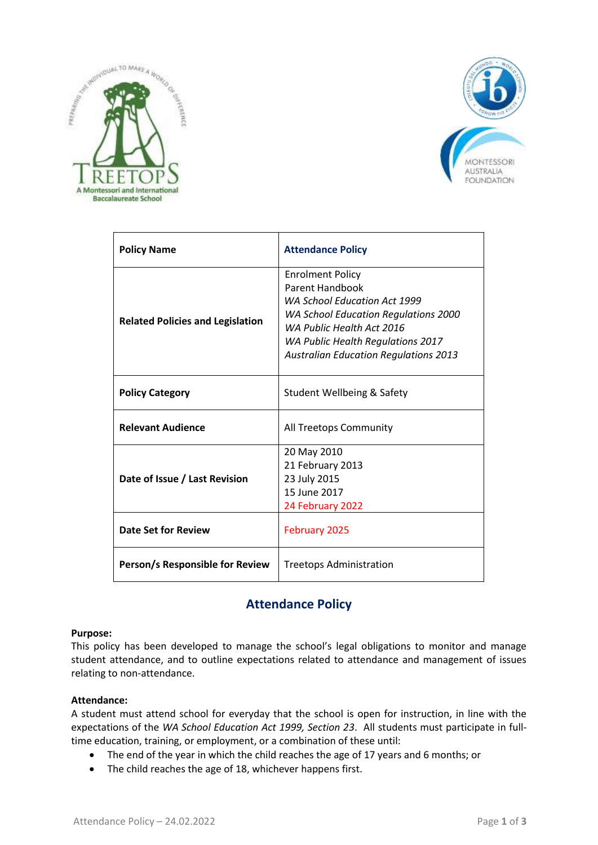



| <b>Policy Name</b>                      | <b>Attendance Policy</b>                                                                                                                                                                                                                           |
|-----------------------------------------|----------------------------------------------------------------------------------------------------------------------------------------------------------------------------------------------------------------------------------------------------|
| <b>Related Policies and Legislation</b> | <b>Enrolment Policy</b><br>Parent Handbook<br><b>WA School Education Act 1999</b><br><b>WA School Education Regulations 2000</b><br>WA Public Health Act 2016<br>WA Public Health Regulations 2017<br><b>Australian Education Regulations 2013</b> |
| <b>Policy Category</b>                  | Student Wellbeing & Safety                                                                                                                                                                                                                         |
| <b>Relevant Audience</b>                | All Treetops Community                                                                                                                                                                                                                             |
| Date of Issue / Last Revision           | 20 May 2010<br>21 February 2013<br>23 July 2015<br>15 June 2017<br>24 February 2022                                                                                                                                                                |
| <b>Date Set for Review</b>              | February 2025                                                                                                                                                                                                                                      |
| Person/s Responsible for Review         | Treetops Administration                                                                                                                                                                                                                            |

# **Attendance Policy**

#### **Purpose:**

This policy has been developed to manage the school's legal obligations to monitor and manage student attendance, and to outline expectations related to attendance and management of issues relating to non-attendance.

#### **Attendance:**

A student must attend school for everyday that the school is open for instruction, in line with the expectations of the *WA School Education Act 1999, Section 23*. All students must participate in fulltime education, training, or employment, or a combination of these until:

- The end of the year in which the child reaches the age of 17 years and 6 months; or
- The child reaches the age of 18, whichever happens first.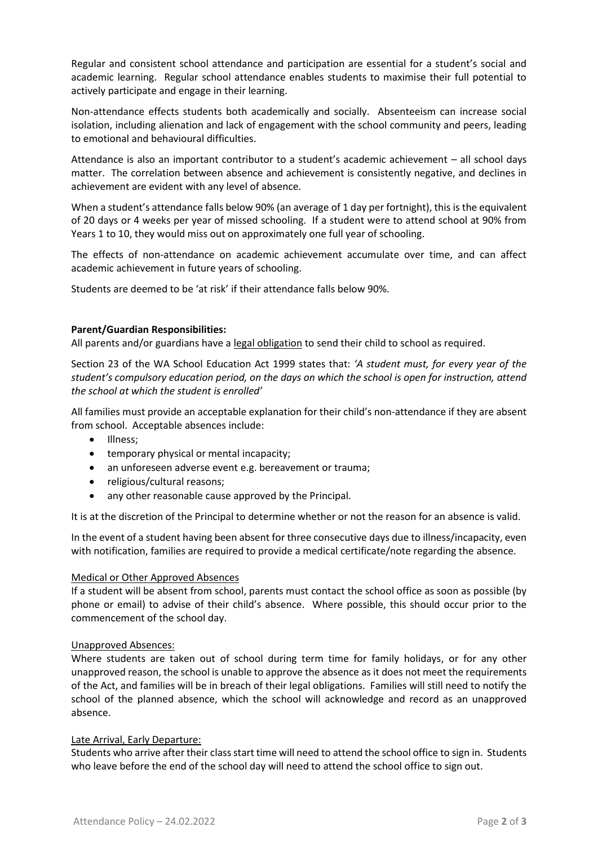Regular and consistent school attendance and participation are essential for a student's social and academic learning. Regular school attendance enables students to maximise their full potential to actively participate and engage in their learning.

Non-attendance effects students both academically and socially. Absenteeism can increase social isolation, including alienation and lack of engagement with the school community and peers, leading to emotional and behavioural difficulties.

Attendance is also an important contributor to a student's academic achievement – all school days matter. The correlation between absence and achievement is consistently negative, and declines in achievement are evident with any level of absence.

When a student's attendance falls below 90% (an average of 1 day per fortnight), this is the equivalent of 20 days or 4 weeks per year of missed schooling. If a student were to attend school at 90% from Years 1 to 10, they would miss out on approximately one full year of schooling.

The effects of non-attendance on academic achievement accumulate over time, and can affect academic achievement in future years of schooling.

Students are deemed to be 'at risk' if their attendance falls below 90%.

#### **Parent/Guardian Responsibilities:**

All parents and/or guardians have a legal obligation to send their child to school as required.

Section 23 of the WA School Education Act 1999 states that: *'A student must, for every year of the student's compulsory education period, on the days on which the school is open for instruction, attend the school at which the student is enrolled'*

All families must provide an acceptable explanation for their child's non-attendance if they are absent from school. Acceptable absences include:

- Illness:
- **•** temporary physical or mental incapacity;
- an unforeseen adverse event e.g. bereavement or trauma;
- religious/cultural reasons;
- any other reasonable cause approved by the Principal.

It is at the discretion of the Principal to determine whether or not the reason for an absence is valid.

In the event of a student having been absent for three consecutive days due to illness/incapacity, even with notification, families are required to provide a medical certificate/note regarding the absence.

#### Medical or Other Approved Absences

If a student will be absent from school, parents must contact the school office as soon as possible (by phone or email) to advise of their child's absence. Where possible, this should occur prior to the commencement of the school day.

#### Unapproved Absences:

Where students are taken out of school during term time for family holidays, or for any other unapproved reason, the school is unable to approve the absence as it does not meet the requirements of the Act, and families will be in breach of their legal obligations. Families will still need to notify the school of the planned absence, which the school will acknowledge and record as an unapproved absence.

#### Late Arrival, Early Departure:

Students who arrive after their class start time will need to attend the school office to sign in. Students who leave before the end of the school day will need to attend the school office to sign out.